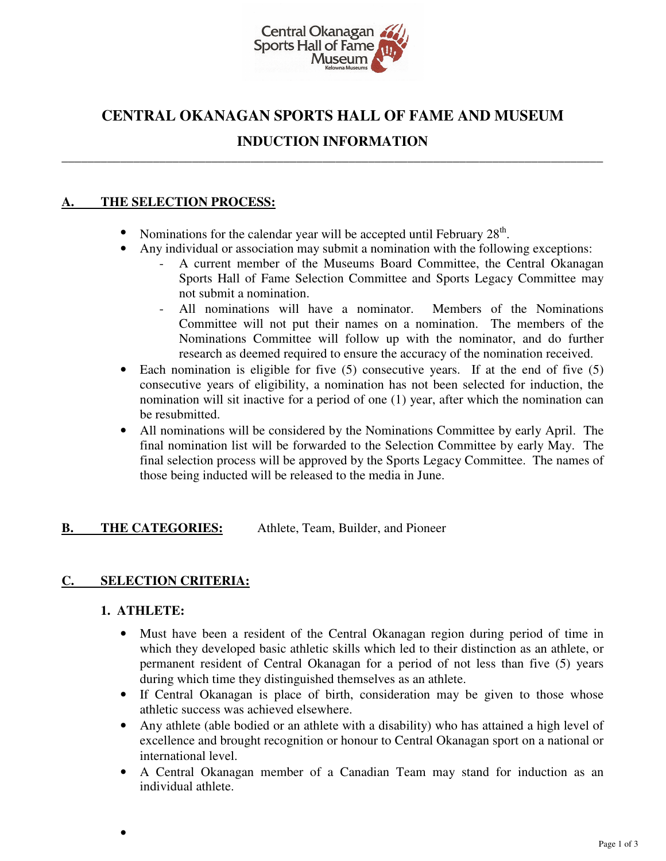

# **CENTRAL OKANAGAN SPORTS HALL OF FAME AND MUSEUM**

## **INDUCTION INFORMATION \_\_\_\_\_\_\_\_\_\_\_\_\_\_\_\_\_\_\_\_\_\_\_\_\_\_\_\_\_\_\_\_\_\_\_\_\_\_\_\_\_\_\_\_\_\_\_\_\_\_\_\_\_\_\_\_\_\_\_\_\_\_\_\_\_\_\_\_\_\_\_\_\_\_\_\_\_\_\_\_\_\_\_**

### **A. THE SELECTION PROCESS:**

- Nominations for the calendar year will be accepted until February  $28<sup>th</sup>$ .
- Any individual or association may submit a nomination with the following exceptions:
	- A current member of the Museums Board Committee, the Central Okanagan Sports Hall of Fame Selection Committee and Sports Legacy Committee may not submit a nomination.
	- All nominations will have a nominator. Members of the Nominations Committee will not put their names on a nomination. The members of the Nominations Committee will follow up with the nominator, and do further research as deemed required to ensure the accuracy of the nomination received.
- Each nomination is eligible for five (5) consecutive years. If at the end of five (5) consecutive years of eligibility, a nomination has not been selected for induction, the nomination will sit inactive for a period of one (1) year, after which the nomination can be resubmitted.
- All nominations will be considered by the Nominations Committee by early April. The final nomination list will be forwarded to the Selection Committee by early May. The final selection process will be approved by the Sports Legacy Committee. The names of those being inducted will be released to the media in June.

**B.** THE CATEGORIES: Athlete, Team, Builder, and Pioneer

### **C. SELECTION CRITERIA:**

### **1. ATHLETE:**

•

- Must have been a resident of the Central Okanagan region during period of time in which they developed basic athletic skills which led to their distinction as an athlete, or permanent resident of Central Okanagan for a period of not less than five (5) years during which time they distinguished themselves as an athlete.
- If Central Okanagan is place of birth, consideration may be given to those whose athletic success was achieved elsewhere.
- Any athlete (able bodied or an athlete with a disability) who has attained a high level of excellence and brought recognition or honour to Central Okanagan sport on a national or international level.
- A Central Okanagan member of a Canadian Team may stand for induction as an individual athlete.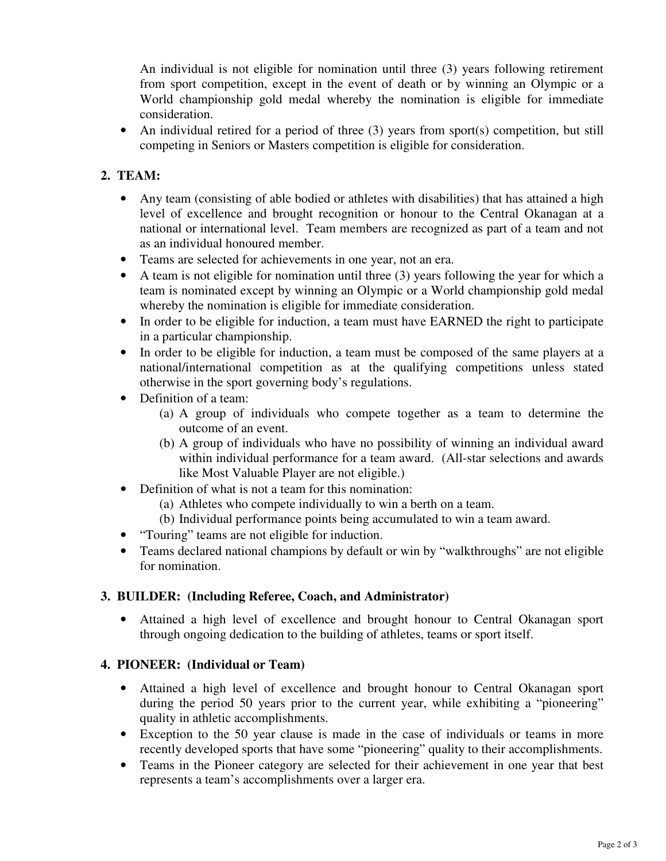An individual is not eligible for nomination until three (3) years following retirement from sport competition, except in the event of death or by winning an Olympic or a World championship gold medal whereby the nomination is eligible for immediate consideration.

• An individual retired for a period of three (3) years from sport(s) competition, but still competing in Seniors or Masters competition is eligible for consideration.

## **2. TEAM:**

- Any team (consisting of able bodied or athletes with disabilities) that has attained a high level of excellence and brought recognition or honour to the Central Okanagan at a national or international level. Team members are recognized as part of a team and not as an individual honoured member.
- Teams are selected for achievements in one year, not an era.
- A team is not eligible for nomination until three (3) years following the year for which a team is nominated except by winning an Olympic or a World championship gold medal whereby the nomination is eligible for immediate consideration.
- In order to be eligible for induction, a team must have EARNED the right to participate in a particular championship.
- In order to be eligible for induction, a team must be composed of the same players at a national/international competition as at the qualifying competitions unless stated otherwise in the sport governing body's regulations.
- Definition of a team:
	- (a) A group of individuals who compete together as a team to determine the outcome of an event.
	- (b) A group of individuals who have no possibility of winning an individual award within individual performance for a team award. (All-star selections and awards like Most Valuable Player are not eligible.)
- Definition of what is not a team for this nomination:
	- (a) Athletes who compete individually to win a berth on a team.
	- (b) Individual performance points being accumulated to win a team award.
- "Touring" teams are not eligible for induction.
- Teams declared national champions by default or win by "walkthroughs" are not eligible for nomination.

### **3. BUILDER: (Including Referee, Coach, and Administrator)**

• Attained a high level of excellence and brought honour to Central Okanagan sport through ongoing dedication to the building of athletes, teams or sport itself.

### **4. PIONEER: (Individual or Team)**

- Attained a high level of excellence and brought honour to Central Okanagan sport during the period 50 years prior to the current year, while exhibiting a "pioneering" quality in athletic accomplishments.
- Exception to the 50 year clause is made in the case of individuals or teams in more recently developed sports that have some "pioneering" quality to their accomplishments.
- Teams in the Pioneer category are selected for their achievement in one year that best represents a team's accomplishments over a larger era.